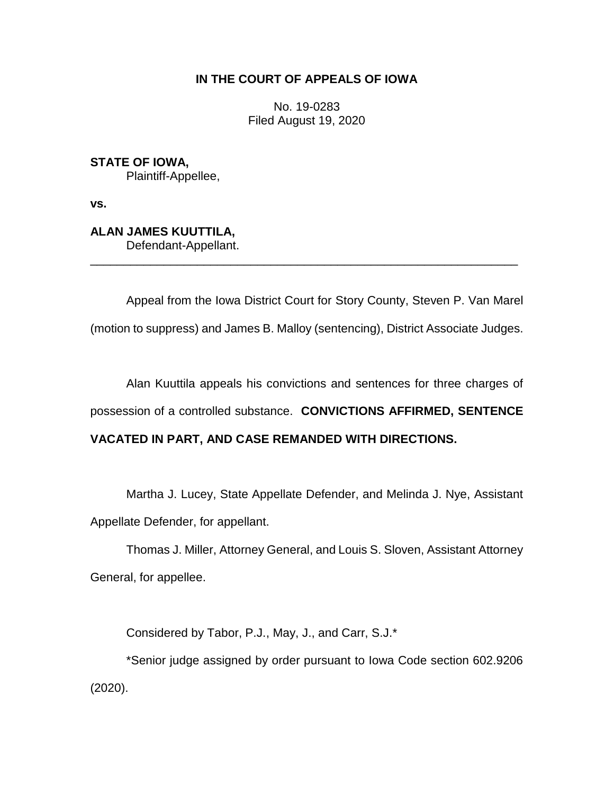## **IN THE COURT OF APPEALS OF IOWA**

No. 19-0283 Filed August 19, 2020

**STATE OF IOWA,** Plaintiff-Appellee,

**vs.**

**ALAN JAMES KUUTTILA,** Defendant-Appellant.

Appeal from the Iowa District Court for Story County, Steven P. Van Marel (motion to suppress) and James B. Malloy (sentencing), District Associate Judges.

\_\_\_\_\_\_\_\_\_\_\_\_\_\_\_\_\_\_\_\_\_\_\_\_\_\_\_\_\_\_\_\_\_\_\_\_\_\_\_\_\_\_\_\_\_\_\_\_\_\_\_\_\_\_\_\_\_\_\_\_\_\_\_\_

Alan Kuuttila appeals his convictions and sentences for three charges of possession of a controlled substance. **CONVICTIONS AFFIRMED, SENTENCE VACATED IN PART, AND CASE REMANDED WITH DIRECTIONS.**

Martha J. Lucey, State Appellate Defender, and Melinda J. Nye, Assistant Appellate Defender, for appellant.

Thomas J. Miller, Attorney General, and Louis S. Sloven, Assistant Attorney General, for appellee.

Considered by Tabor, P.J., May, J., and Carr, S.J.\*

\*Senior judge assigned by order pursuant to Iowa Code section 602.9206 (2020).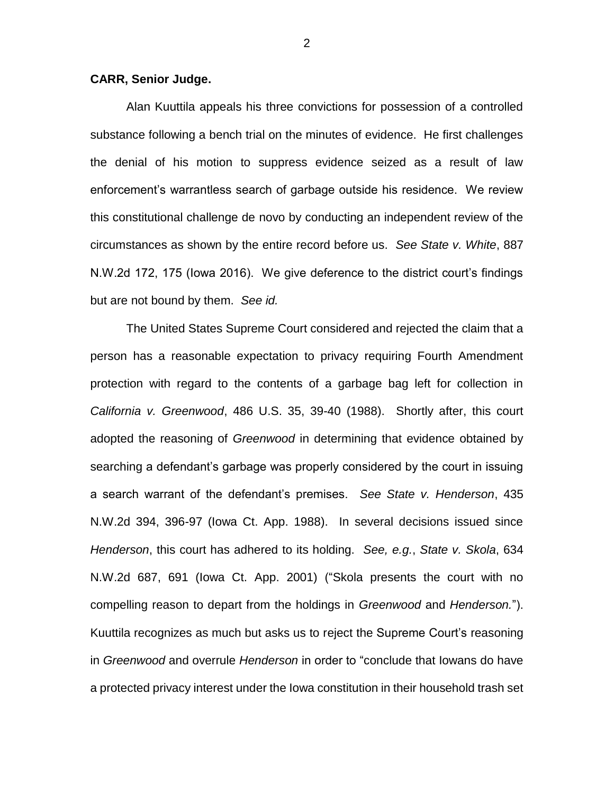## **CARR, Senior Judge.**

Alan Kuuttila appeals his three convictions for possession of a controlled substance following a bench trial on the minutes of evidence. He first challenges the denial of his motion to suppress evidence seized as a result of law enforcement's warrantless search of garbage outside his residence. We review this constitutional challenge de novo by conducting an independent review of the circumstances as shown by the entire record before us. *See State v. White*, 887 N.W.2d 172, 175 (Iowa 2016). We give deference to the district court's findings but are not bound by them. *See id.*

The United States Supreme Court considered and rejected the claim that a person has a reasonable expectation to privacy requiring Fourth Amendment protection with regard to the contents of a garbage bag left for collection in *California v. Greenwood*, 486 U.S. 35, 39-40 (1988). Shortly after, this court adopted the reasoning of *Greenwood* in determining that evidence obtained by searching a defendant's garbage was properly considered by the court in issuing a search warrant of the defendant's premises. *See State v. Henderson*, 435 N.W.2d 394, 396-97 (Iowa Ct. App. 1988). In several decisions issued since *Henderson*, this court has adhered to its holding. *See, e.g.*, *State v. Skola*, 634 N.W.2d 687, 691 (Iowa Ct. App. 2001) ("Skola presents the court with no compelling reason to depart from the holdings in *Greenwood* and *Henderson.*"). Kuuttila recognizes as much but asks us to reject the Supreme Court's reasoning in *Greenwood* and overrule *Henderson* in order to "conclude that Iowans do have a protected privacy interest under the Iowa constitution in their household trash set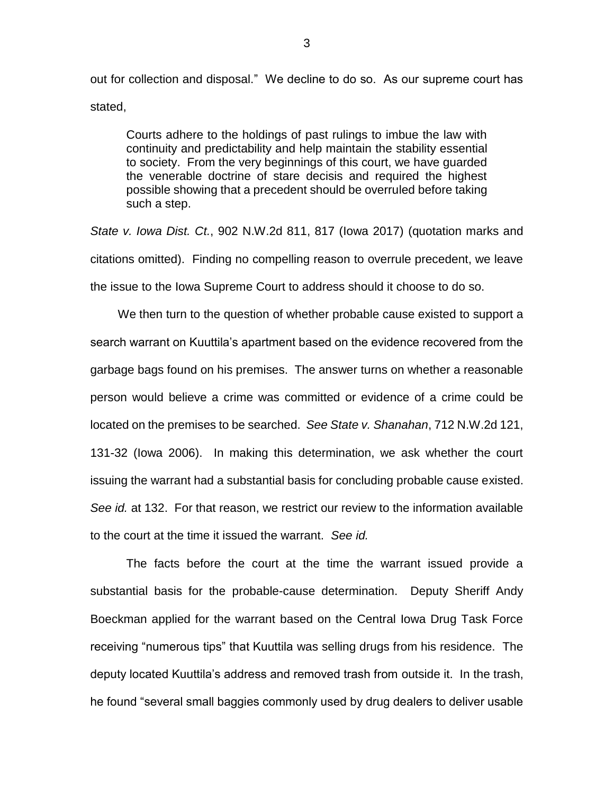out for collection and disposal." We decline to do so. As our supreme court has stated,

Courts adhere to the holdings of past rulings to imbue the law with continuity and predictability and help maintain the stability essential to society. From the very beginnings of this court, we have guarded the venerable doctrine of stare decisis and required the highest possible showing that a precedent should be overruled before taking such a step.

*State v. Iowa Dist. Ct.*, 902 N.W.2d 811, 817 (Iowa 2017) (quotation marks and citations omitted). Finding no compelling reason to overrule precedent, we leave the issue to the Iowa Supreme Court to address should it choose to do so.

We then turn to the question of whether probable cause existed to support a search warrant on Kuuttila's apartment based on the evidence recovered from the garbage bags found on his premises. The answer turns on whether a reasonable person would believe a crime was committed or evidence of a crime could be located on the premises to be searched. *See State v. Shanahan*, 712 N.W.2d 121, 131-32 (Iowa 2006). In making this determination, we ask whether the court issuing the warrant had a substantial basis for concluding probable cause existed. *See id.* at 132. For that reason, we restrict our review to the information available to the court at the time it issued the warrant. *See id.*

The facts before the court at the time the warrant issued provide a substantial basis for the probable-cause determination. Deputy Sheriff Andy Boeckman applied for the warrant based on the Central Iowa Drug Task Force receiving "numerous tips" that Kuuttila was selling drugs from his residence. The deputy located Kuuttila's address and removed trash from outside it. In the trash, he found "several small baggies commonly used by drug dealers to deliver usable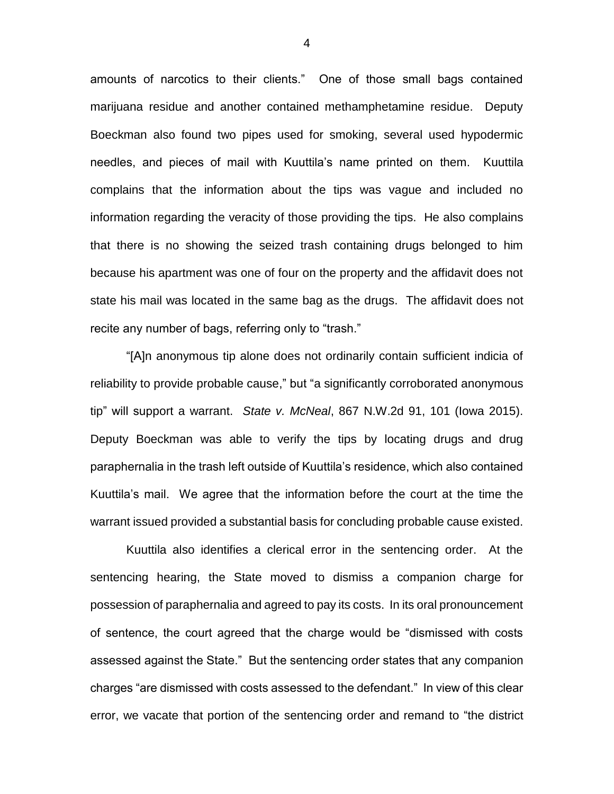amounts of narcotics to their clients." One of those small bags contained marijuana residue and another contained methamphetamine residue. Deputy Boeckman also found two pipes used for smoking, several used hypodermic needles, and pieces of mail with Kuuttila's name printed on them. Kuuttila complains that the information about the tips was vague and included no information regarding the veracity of those providing the tips. He also complains that there is no showing the seized trash containing drugs belonged to him because his apartment was one of four on the property and the affidavit does not state his mail was located in the same bag as the drugs. The affidavit does not recite any number of bags, referring only to "trash."

"[A]n anonymous tip alone does not ordinarily contain sufficient indicia of reliability to provide probable cause," but "a significantly corroborated anonymous tip" will support a warrant. *State v. McNeal*, 867 N.W.2d 91, 101 (Iowa 2015). Deputy Boeckman was able to verify the tips by locating drugs and drug paraphernalia in the trash left outside of Kuuttila's residence, which also contained Kuuttila's mail. We agree that the information before the court at the time the warrant issued provided a substantial basis for concluding probable cause existed.

Kuuttila also identifies a clerical error in the sentencing order. At the sentencing hearing, the State moved to dismiss a companion charge for possession of paraphernalia and agreed to pay its costs. In its oral pronouncement of sentence, the court agreed that the charge would be "dismissed with costs assessed against the State." But the sentencing order states that any companion charges "are dismissed with costs assessed to the defendant." In view of this clear error, we vacate that portion of the sentencing order and remand to "the district

4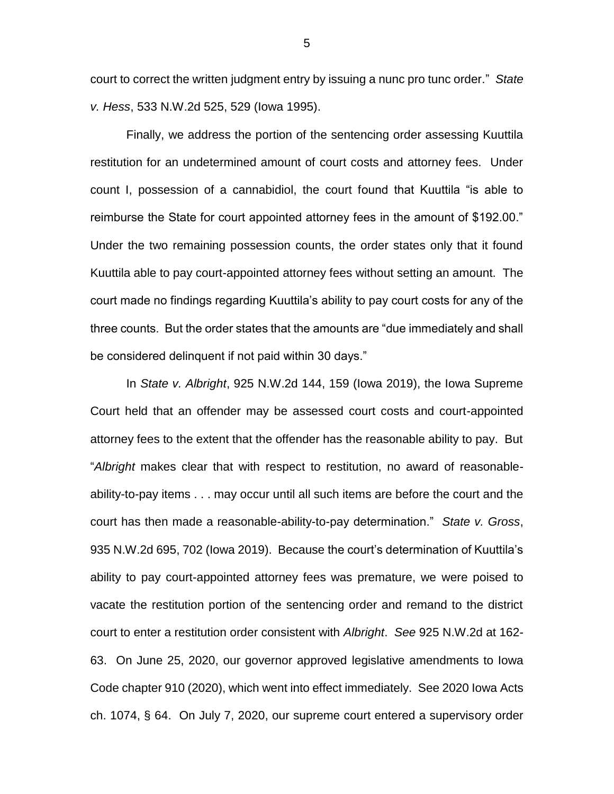court to correct the written judgment entry by issuing a nunc pro tunc order." *State v. Hess*, 533 N.W.2d 525, 529 (Iowa 1995).

Finally, we address the portion of the sentencing order assessing Kuuttila restitution for an undetermined amount of court costs and attorney fees. Under count I, possession of a cannabidiol, the court found that Kuuttila "is able to reimburse the State for court appointed attorney fees in the amount of \$192.00." Under the two remaining possession counts, the order states only that it found Kuuttila able to pay court-appointed attorney fees without setting an amount. The court made no findings regarding Kuuttila's ability to pay court costs for any of the three counts. But the order states that the amounts are "due immediately and shall be considered delinquent if not paid within 30 days."

In *State v. Albright*, 925 N.W.2d 144, 159 (Iowa 2019), the Iowa Supreme Court held that an offender may be assessed court costs and court-appointed attorney fees to the extent that the offender has the reasonable ability to pay. But "*Albright* makes clear that with respect to restitution, no award of reasonableability-to-pay items . . . may occur until all such items are before the court and the court has then made a reasonable-ability-to-pay determination." *State v. Gross*, 935 N.W.2d 695, 702 (Iowa 2019). Because the court's determination of Kuuttila's ability to pay court-appointed attorney fees was premature, we were poised to vacate the restitution portion of the sentencing order and remand to the district court to enter a restitution order consistent with *Albright*. *See* 925 N.W.2d at 162- 63. On June 25, 2020, our governor approved legislative amendments to Iowa Code chapter 910 (2020), which went into effect immediately. See 2020 Iowa Acts ch. 1074, § 64. On July 7, 2020, our supreme court entered a supervisory order